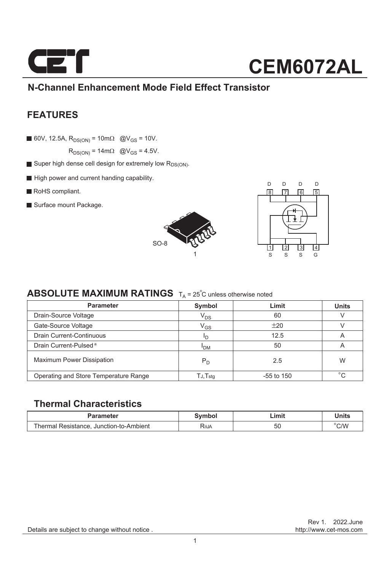

### **N-Channel Enhancement Mode Field Effect Transistor**

### **FEATURES**

60V, 12.5A,  $R_{DS(ON)} = 10 \text{ m}\Omega$  @V<sub>GS</sub> = 10V.

 $R_{DS(ON)} = 14 \text{m}\Omega$  @V<sub>GS</sub> = 4.5V.

- Super high dense cell design for extremely low  $R_{DS(ON)}$ .
- High power and current handing capability.
- RoHS compliant.
- Surface mount Package.





### **ABSOLUTE MAXIMUM RATINGS**  $T_A = 25^\circ C$  unless otherwise noted

| <b>Parameter</b>                      | Symbol        | Limit        |         |
|---------------------------------------|---------------|--------------|---------|
| Drain-Source Voltage                  | $V_{DS}$      | 60           |         |
| Gate-Source Voltage                   | $\rm V_{GS}$  | ±20          |         |
| Drain Current-Continuous              | חי            | 12.5         | A       |
| Drain Current-Pulsed <sup>a</sup>     | <b>I</b> DM   | 50           | A       |
| <b>Maximum Power Dissipation</b>      | $P_D$         | 2.5          | W       |
| Operating and Store Temperature Range | $TJ$ , $Tstg$ | $-55$ to 150 | $\circ$ |

#### **Thermal Characteristics**

| Parameter                               | Svmbol | Limit | Units |
|-----------------------------------------|--------|-------|-------|
| Thermal Resistance, Junction-to-Ambient | RθJA   | JC.   | C/W   |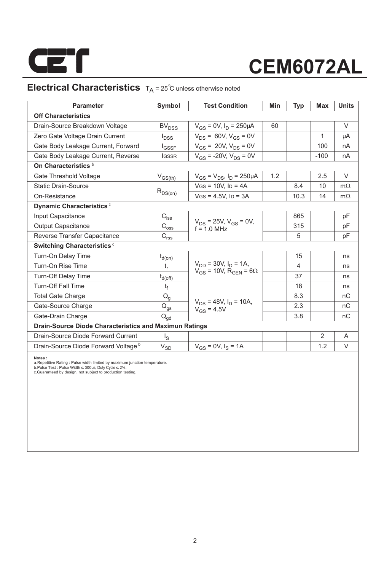

### **Electrical Characteristics**  $T_A = 25^\circ$ C unless otherwise noted

| <b>Parameter</b>                                       | Symbol                                  | <b>Test Condition</b>                                                        | Min | Typ            | <b>Max</b>     | <b>Units</b> |  |  |  |  |
|--------------------------------------------------------|-----------------------------------------|------------------------------------------------------------------------------|-----|----------------|----------------|--------------|--|--|--|--|
| <b>Off Characteristics</b>                             |                                         |                                                                              |     |                |                |              |  |  |  |  |
| Drain-Source Breakdown Voltage                         | <b>BV<sub>DSS</sub></b>                 | $V_{GS} = 0V$ , $I_D = 250 \mu A$                                            | 60  |                |                | $\vee$       |  |  |  |  |
| Zero Gate Voltage Drain Current                        | $I_{DSS}$                               | $V_{DS}$ = 60V, $V_{GS}$ = 0V                                                |     |                | 1              | μA           |  |  |  |  |
| Gate Body Leakage Current, Forward                     | $I_{GSSF}$                              | $V_{GS}$ = 20V, $V_{DS}$ = 0V                                                |     |                | 100            | nA           |  |  |  |  |
| Gate Body Leakage Current, Reverse                     | <b>IGSSR</b>                            | $V_{GS}$ = -20V, $V_{DS}$ = 0V                                               |     |                | $-100$         | nA           |  |  |  |  |
| On Characteristics <sup>b</sup>                        |                                         |                                                                              |     |                |                |              |  |  |  |  |
| Gate Threshold Voltage                                 | $V_{GS(th)}$                            | $V_{GS} = V_{DS}$ , $I_D = 250 \mu A$                                        | 1.2 |                | 2.5            | $\vee$       |  |  |  |  |
| <b>Static Drain-Source</b>                             | $R_{DS(on)}$                            | $V$ GS = 10V, ID = 4A                                                        |     | 8.4            | 10             | $m\Omega$    |  |  |  |  |
| On-Resistance                                          |                                         | $V$ GS = 4.5V, ID = 3A                                                       |     | 10.3           | 14             | $m\Omega$    |  |  |  |  |
| Dynamic Characteristics <sup>c</sup>                   |                                         |                                                                              |     |                |                |              |  |  |  |  |
| Input Capacitance                                      | $C_{i \underline{s} \underline{s}}$     |                                                                              |     | 865            |                | pF           |  |  |  |  |
| <b>Output Capacitance</b>                              | $\mathsf{C}_{\mathsf{oss}}$             | $V_{DS}$ = 25V, $V_{GS}$ = 0V,<br>$f = 1.0$ MHz                              |     | 315            |                | pF           |  |  |  |  |
| Reverse Transfer Capacitance                           | $\mathsf{C}_{\underline{\mathsf{rss}}}$ |                                                                              |     | 5              |                | pF           |  |  |  |  |
| <b>Switching Characteristics c</b>                     |                                         |                                                                              |     |                |                |              |  |  |  |  |
| Turn-On Delay Time                                     | $t_{d(0n)}$                             |                                                                              |     | 15             |                | ns           |  |  |  |  |
| Turn-On Rise Time                                      | t,                                      | $V_{DD}$ = 30V, $I_D$ = 1A,<br>$V_{GS}$ = 10V, R <sub>GEN</sub> = 6 $\Omega$ |     | $\overline{4}$ |                | ns           |  |  |  |  |
| Turn-Off Delay Time                                    | $t_{d(\text{off})}$                     |                                                                              |     | 37             |                | ns           |  |  |  |  |
| <b>Turn-Off Fall Time</b>                              | $t_f$                                   |                                                                              |     | 18             |                | ns           |  |  |  |  |
| <b>Total Gate Charge</b>                               | $\mathsf{Q}_{\mathsf{q}}$               |                                                                              |     | 8.3            |                | nC           |  |  |  |  |
| Gate-Source Charge                                     | $Q_{gs}$                                | $V_{DS}$ = 48V, $I_D$ = 10A,<br>$V_{GS} = 4.5V$                              |     | 2.3            |                | nC           |  |  |  |  |
| Gate-Drain Charge                                      | $\mathsf{Q}_{\mathsf{gd}}$              |                                                                              |     | 3.8            |                | nC           |  |  |  |  |
| Drain-Source Diode Characteristics and Maximun Ratings |                                         |                                                                              |     |                |                |              |  |  |  |  |
| Drain-Source Diode Forward Current                     | $I_{\rm S}$                             |                                                                              |     |                | $\overline{2}$ | A            |  |  |  |  |
| Drain-Source Diode Forward Voltage b                   | $V_{S\underline{\mathsf{D}}}$           | $V_{GS} = 0V$ , $I_S = 1A$                                                   |     |                | 1.2            | V            |  |  |  |  |

**Notes :**<br>a.Repetitive Rating : Pulse width limited by maximum junction temperature.<br>b.Pulse Test : Pulse Width ≤ 300µs, Duty Cycle ≤ 2%.<br>c.Guaranteed by design, not subject to production testing.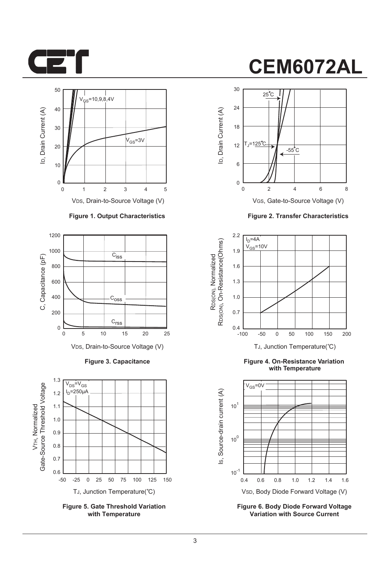



#### **Figure 1. Output Characteristics**



**Figure 3. Capacitance**



**Figure 5. Gate Threshold Variation with Temperature**

# **CEM6072AL**



VGS, Gate-to-Source Voltage (V)

**Figure 2. Transfer Characteristics**



**Figure 4. On-Resistance Variation with Temperature**



**Figure 6. Body Diode Forward Voltage Variation with Source Current**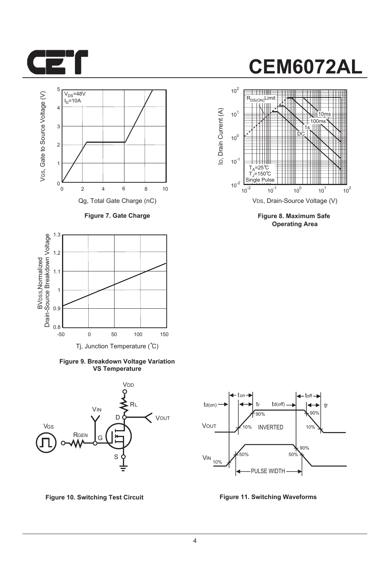



**Figure 7. Gate Charge**



**Figure 9. Breakdown Voltage Variation VS Temperature**





**Figure 8. Maximum Safe Operating Area**



**Figure 10. Switching Test Circuit Figure 11. Switching Waveforms**